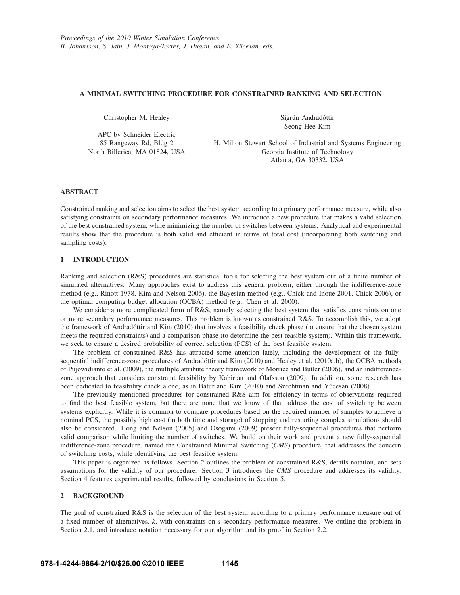### **A MINIMAL SWITCHING PROCEDURE FOR CONSTRAINED RANKING AND SELECTION**

Christopher M. Healey

APC by Schneider Electric 85 Rangeway Rd, Bldg 2 North Billerica, MA 01824, USA Sigrún Andradóttir Seong-Hee Kim

H. Milton Stewart School of Industrial and Systems Engineering Georgia Institute of Technology Atlanta, GA 30332, USA

# **ABSTRACT**

Constrained ranking and selection aims to select the best system according to a primary performance measure, while also satisfying constraints on secondary performance measures. We introduce a new procedure that makes a valid selection of the best constrained system, while minimizing the number of switches between systems. Analytical and experimental results show that the procedure is both valid and efficient in terms of total cost (incorporating both switching and sampling costs).

# **1 INTRODUCTION**

Ranking and selection (R&S) procedures are statistical tools for selecting the best system out of a finite number of simulated alternatives. Many approaches exist to address this general problem, either through the indifference-zone method (e.g., Rinott 1978, Kim and Nelson 2006), the Bayesian method (e.g., Chick and Inoue 2001, Chick 2006), or the optimal computing budget allocation (OCBA) method (e.g., Chen et al. 2000).

We consider a more complicated form of R&S, namely selecting the best system that satisfies constraints on one or more secondary performance measures. This problem is known as constrained R&S. To accomplish this, we adopt the framework of Andradóttir and Kim (2010) that involves a feasibility check phase (to ensure that the chosen system meets the required constraints) and a comparison phase (to determine the best feasible system). Within this framework, we seek to ensure a desired probability of correct selection (PCS) of the best feasible system.

The problem of constrained R&S has attracted some attention lately, including the development of the fullysequential indifference-zone procedures of Andradóttir and Kim (2010) and Healey et al. (2010a,b), the OCBA methods of Pujowidianto et al. (2009), the multiple attribute theory framework of Morrice and Butler (2006), and an indifferencezone approach that considers constraint feasibility by Kabirian and Olafsson (2009). In addition, some research has ´ been dedicated to feasibility check alone, as in Batur and Kim (2010) and Szechtman and Yücesan (2008).

The previously mentioned procedures for constrained R&S aim for efficiency in terms of observations required to find the best feasible system, but there are none that we know of that address the cost of switching between systems explicitly. While it is common to compare procedures based on the required number of samples to achieve a nominal PCS, the possibly high cost (in both time and storage) of stopping and restarting complex simulations should also be considered. Hong and Nelson (2005) and Osogami (2009) present fully-sequential procedures that perform valid comparison while limiting the number of switches. We build on their work and present a new fully-sequential indifference-zone procedure, named the Constrained Minimal Switching (*CMS*) procedure, that addresses the concern of switching costs, while identifying the best feasible system.

This paper is organized as follows. Section 2 outlines the problem of constrained R&S, details notation, and sets assumptions for the validity of our procedure. Section 3 introduces the *CMS* procedure and addresses its validity. Section 4 features experimental results, followed by conclusions in Section 5.

# **2 BACKGROUND**

The goal of constrained R&S is the selection of the best system according to a primary performance measure out of a fixed number of alternatives, *k*, with constraints on *s* secondary performance measures. We outline the problem in Section 2.1, and introduce notation necessary for our algorithm and its proof in Section 2.2.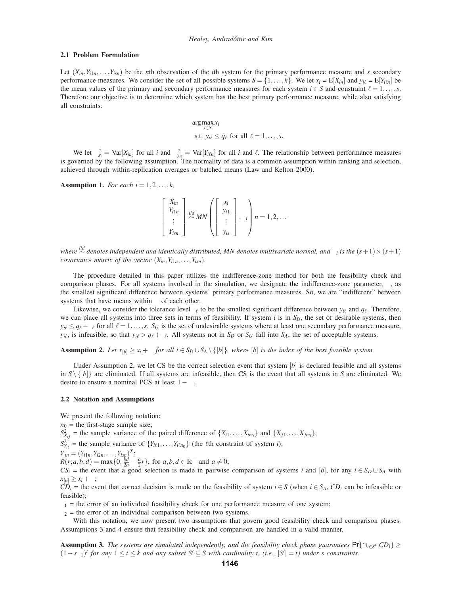#### **2.1 Problem Formulation**

Let  $(X_{in}, Y_{i1n}, \ldots, Y_{isn})$  be the *n*th observation of the *i*th system for the primary performance measure and *s* secondary performance measures. We consider the set of all possible systems  $S = \{1, \ldots, k\}$ . We let  $x_i = E[X_{in}]$  and  $y_{i\ell} = E[Y_{i\ell n}]$  be the mean values of the primary and secondary performance measures for each system  $i \in S$  and constraint  $\ell = 1, \ldots, s$ . Therefore our objective is to determine which system has the best primary performance measure, while also satisfying all constraints:

$$
\arg \max_{i \in S} x_i
$$
  
s.t.  $y_{i\ell} \le q_{\ell}$  for all  $\ell = 1,...,s$ .

We let  $\sigma_{x_i}^2 = \text{Var}[X_{in}]$  for all *i* and  $\sigma_{y_i}^2 = \text{Var}[Y_{i\ell n}]$  for all *i* and  $\ell$ . The relationship between performance measures is governed by the following assumption. The normality of data is a common assumption achieved through within-replication averages or batched means (Law and Kelton 2000).

**Assumption 1.** *For each*  $i = 1, 2, \ldots, k$ ,

$$
\begin{bmatrix} X_{in} \\ Y_{i1n} \\ \vdots \\ Y_{isn} \end{bmatrix} \stackrel{iid}{\sim} MN \left( \begin{bmatrix} x_i \\ y_{i1} \\ \vdots \\ y_{is} \end{bmatrix}, \Sigma_i \right) n = 1, 2, \dots
$$

*where iid* ∼ *denotes independent and identically distributed, MN denotes multivariate normal, and* Σ*<sup>i</sup> is the* (*s*+1)×(*s*+1) *covariance matrix of the vector*  $(X_{in}, Y_{i1n}, \ldots, Y_{isn})$ *.* 

The procedure detailed in this paper utilizes the indifference-zone method for both the feasibility check and comparison phases. For all systems involved in the simulation, we designate the indifference-zone parameter,  $\delta$ , as the smallest significant difference between systems' primary performance measures. So, we are "indifferent" between systems that have means within  $\delta$  of each other.

Likewise, we consider the tolerance level  $\varepsilon_\ell$  to be the smallest significant difference between  $y_{i\ell}$  and  $q_\ell$ . Therefore, we can place all systems into three sets in terms of feasibility. If system *i* is in  $S_D$ , the set of desirable systems, then  $y_{i\ell} \le q_{\ell} - \varepsilon_{\ell}$  for all  $\ell = 1, \ldots, s$ .  $S_U$  is the set of undesirable systems where at least one secondary performance measure,  $y_{i\ell}$ , is infeasible, so that  $y_{i\ell} > q_{\ell} + \varepsilon_{\ell}$ . All systems not in  $S_D$  or  $S_U$  fall into  $S_A$ , the set of acceptable systems.

**Assumption 2.** Let  $x_{[b]} \ge x_i + \delta$  for all  $i \in S_D \cup S_A \setminus \{[b]\}$ , where  $[b]$  is the index of the best feasible system.

Under Assumption 2, we let CS be the correct selection event that system  $[b]$  is declared feasible and all systems in  $S \setminus \{b\}$  are eliminated. If all systems are infeasible, then CS is the event that all systems in *S* are eliminated. We desire to ensure a nominal PCS at least  $1-\alpha$ .

#### **2.2 Notation and Assumptions**

We present the following notation:

 $n_0$  = the first-stage sample size;

 $S_{X_{ij}}^2$  = the sample variance of the paired difference of  $\{X_{i1},...,X_{in_0}\}\$  and  $\{X_{j1},...,X_{jn_0}\}\;$ ;

 $S_{Y_{i\ell}}^2$  = the sample variance of  $\{Y_{i\ell 1},...,Y_{i\ell n_0}\}$  (the  $\ell$ th constraint of system *i*);

$$
Y_{in} = (Y_{i1n}, Y_{i2n}, \ldots, Y_{isn})^T;
$$

 $R(r; a, b, d) = \max\{0, \frac{bd}{2a} - \frac{a}{2}r\}$ , for  $a, b, d \in \mathbb{R}^+$  and  $a \neq 0$ ;

 $CS_i$  = the event that a good selection is made in pairwise comparison of systems *i* and [*b*], for any  $i \in S_D \cup S_A$  with  $x_{[b]} \geq x_i + \delta;$ 

 $CD_i$  = the event that correct decision is made on the feasibility of system  $i \in S$  (when  $i \in S_A$ ,  $CD_i$  can be infeasible or feasible);

 $\beta_1$  = the error of an individual feasibility check for one performance measure of one system;

 $\beta_2$  = the error of an individual comparison between two systems.

With this notation, we now present two assumptions that govern good feasibility check and comparison phases. Assumptions 3 and 4 ensure that feasibility check and comparison are handled in a valid manner.

**Assumption 3.** *The systems are simulated independently, and the feasibility check phase guarantees*  $Pr\{\cap_{i\in S'} CD_i\}$  $(1-s\beta_1)^t$  *for any*  $1 \le t \le k$  *and any subset*  $S' \subseteq S$  *with cardinality t, (i.e.,*  $|S'| = t$ *) under s constraints.*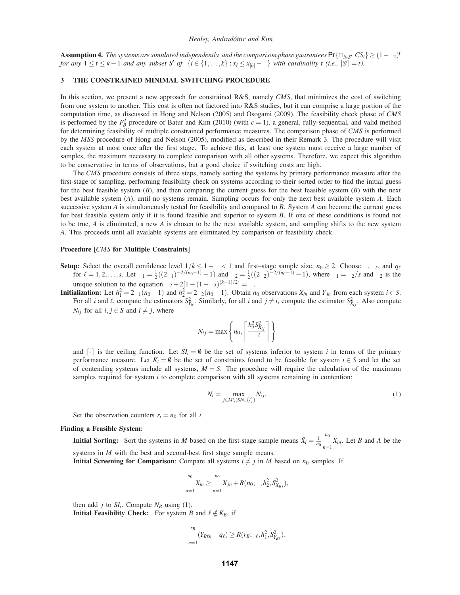**Assumption 4.** *The systems are simulated independently, and the comparison phase guarantees*  $Pr\{\cap_{i\in S'} CS_i\} \geq (1-\beta_2)^t$ *for any*  $1 \le t \le k-1$  *and any subset*  $S'$  *of*  $\{i \in \{1,\ldots,k\} : x_i \le x_{[b]} - \delta\}$  *with cardinality t (i.e.,*  $|S'| = t$ ).

### **3 THE CONSTRAINED MINIMAL SWITCHING PROCEDURE**

In this section, we present a new approach for constrained R&S, namely *CMS*, that minimizes the cost of switching from one system to another. This cost is often not factored into R&S studies, but it can comprise a large portion of the computation time, as discussed in Hong and Nelson (2005) and Osogami (2009). The feasibility check phase of *CMS* is performed by the  $F_B^I$  procedure of Batur and Kim (2010) (with  $c = 1$ ), a general, fully-sequential, and valid method for determining feasibility of multiple constrained performance measures. The comparison phase of *CMS* is performed by the *MSS* procedure of Hong and Nelson (2005), modified as described in their Remark 3. The procedure will visit each system at most once after the first stage. To achieve this, at least one system must receive a large number of samples, the maximum necessary to complete comparison with all other systems. Therefore, we expect this algorithm to be conservative in terms of observations, but a good choice if switching costs are high.

The *CMS* procedure consists of three steps, namely sorting the systems by primary performance measure after the first-stage of sampling, performing feasibility check on systems according to their sorted order to find the initial guess for the best feasible system (*B*), and then comparing the current guess for the best feasible system (*B*) with the next best available system (*A*), until no systems remain. Sampling occurs for only the next best available system *A*. Each successive system *A* is simultaneously tested for feasibility and compared to *B*. System *A* can become the current guess for best feasible system only if it is found feasible and superior to system *B*. If one of these conditions is found not to be true, *A* is eliminated, a new *A* is chosen to be the next available system, and sampling shifts to the new system *A*. This proceeds until all available systems are eliminated by comparison or feasibility check.

### **Procedure [***CMS* **for Multiple Constraints]**

- **Setup:** Select the overall confidence level  $1/k \leq 1-\alpha < 1$  and first–stage sample size,  $n_0 \geq 2$ . Choose  $\delta$ ,  $\varepsilon_\ell$ , and  $q_\ell$ for  $\ell = 1, 2, ..., s$ . Let  $\eta_1 = \frac{1}{2}((2\beta_1)^{-2/(n_0-1)} - 1)$  and  $\eta_2 = \frac{1}{2}((2\beta_2)^{-2/(n_0-1)} - 1)$ , where  $\beta_1 = \beta_2/s$  and  $\beta_2$  is the unique solution to the equation  $\beta_2 + 2[1-(1-\beta_2)^{(k-1)/2}] = \alpha$ .
- **Initialization:** Let  $h_1^2 = 2\eta_1(n_0 1)$  and  $h_2^2 = 2\eta_2(n_0 1)$ . Obtain  $n_0$  observations  $X_{in}$  and  $Y_{in}$  from each system  $i \in S$ . For all *i* and  $\ell$ , compute the estimators  $S_{Y_{i\ell}}^2$ . Similarly, for all *i* and  $j \neq i$ , compute the estimator  $S_{X_{ij}}^2$ . Also compute *N<sub>ij</sub>* for all *i*, *j* ∈ *S* and *i*  $\neq$  *j*, where

$$
N_{ij} = \max\left\{n_0, \left\lceil \frac{h_2^2 S_{X_{ij}}^2}{\delta^2} \right\rceil \right\}
$$

and  $\lceil \cdot \rceil$  is the ceiling function. Let  $SI_i = \emptyset$  be the set of systems inferior to system *i* in terms of the primary performance measure. Let  $K_i = \emptyset$  be the set of constraints found to be feasible for system  $i \in S$  and let the set of contending systems include all systems,  $M = S$ . The procedure will require the calculation of the maximum samples required for system *i* to complete comparison with all systems remaining in contention:

$$
N_i = \max_{j \in M \setminus (SI_i \cup \{i\})} N_{ij}.
$$
\n(1)

Set the observation counters  $r_i = n_0$  for all *i*.

### **Finding a Feasible System:**

**Initial Sorting:** Sort the systems in *M* based on the first-stage sample means  $\bar{X}_i = \frac{1}{n_0}$  $\sum_{n=1}^{n_0} X_{in}$ . Let *B* and *A* be the systems in *M* with the best and second-best first stage sample means.

**Initial Screening for Comparison**: Compare all systems  $i \neq j$  in *M* based on  $n_0$  samples. If

$$
\sum_{n=1}^{n_0} X_{in} \ge \sum_{n=1}^{n_0} X_{jn} + R(n_0; \delta, h_2^2, S_{X_{Bj}}^2),
$$

then add *j* to  $SI_i$ . Compute  $N_B$  using (1). **Initial Feasibility Check:** For system *B* and  $\ell \notin K_B$ , if

$$
\sum_{n=1}^{r_B} (Y_{B\ell n} - q_\ell) \geq R(r_B; \varepsilon_\ell, h_1^2, S_{Y_{B\ell}}^2),
$$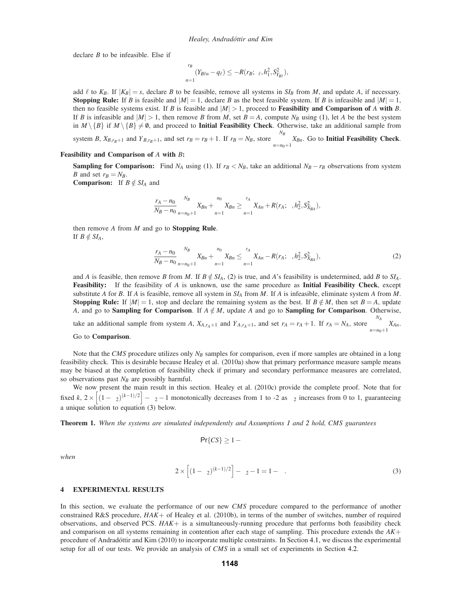declare *B* to be infeasible. Else if

$$
\sum_{n=1}^{r_B}(Y_{B\ell n}-q_\ell)\leq -R(r_B;\varepsilon_\ell,h_1^2,S^2_{Y_{B\ell}}),
$$

add  $\ell$  to  $K_B$ . If  $|K_B| = s$ , declare *B* to be feasible, remove all systems in  $SI_B$  from *M*, and update *A*, if necessary. **Stopping Rule:** If *B* is feasible and  $|M| = 1$ , declare *B* as the best feasible system. If *B* is infeasible and  $|M| = 1$ , then no feasible systems exist. If *B* is feasible and  $|M| > 1$ , proceed to **Feasibility and Comparison of** *A* with *B*. If *B* is infeasible and  $|M| > 1$ , then remove *B* from *M*, set  $B = A$ , compute  $N_B$  using (1), let *A* be the best system in  $M \setminus \{B\}$  if  $M \setminus \{B\} \neq \emptyset$ , and proceed to **Initial Feasibility Check**. Otherwise, take an additional sample from system *B*,  $X_{B,r_B+1}$  and  $Y_{B,r_B+1}$ , and set  $r_B = r_B + 1$ . If  $r_B = N_B$ , store  $\sum_{n=n_0+1}^{N_B} X_{Bn}$ . Go to **Initial Feasibility Check**.

### **Feasibility and Comparison of** *A* **with** *B***:**

**Sampling for Comparison:** Find  $N_A$  using (1). If  $r_B < N_B$ , take an additional  $N_B - r_B$  observations from system *B* and set  $r_B = N_B$ .

**Comparison:** If  $B \notin SI_A$  and

$$
\frac{r_A - n_0}{N_B - n_0} \sum_{n=n_0+1}^{N_B} X_{Bn} + \sum_{n=1}^{n_0} X_{Bn} \ge \sum_{n=1}^{r_A} X_{An} + R(r_A; \delta, h_2^2, S_{X_{BA}}^2),
$$

then remove *A* from *M* and go to **Stopping Rule**. If  $B \notin SI_A$ ,

$$
\frac{r_A - n_0}{N_B - n_0} \sum_{n=n_0+1}^{N_B} X_{Bn} + \sum_{n=1}^{n_0} X_{Bn} \le \sum_{n=1}^{r_A} X_{An} - R(r_A; \delta, h_2^2, S_{X_{BA}}^2), \tag{2}
$$

and *A* is feasible, then remove *B* from *M*. If  $B \notin SI_A$ , (2) is true, and *A*'s feasibility is undetermined, add *B* to  $SI_A$ . **Feasibility:** If the feasibility of *A* is unknown, use the same procedure as **Initial Feasibility Check**, except substitute *A* for *B*. If *A* is feasible, remove all system in *SIA* from *M*. If *A* is infeasible, eliminate system *A* from *M*. **Stopping Rule:** If  $|M| = 1$ , stop and declare the remaining system as the best. If  $B \notin M$ , then set  $B = A$ , update *A*, and go to **Sampling for Comparison**. If  $A \notin M$ , update *A* and go to **Sampling for Comparison**. Otherwise, take an additional sample from system *A*,  $X_{A,r_A+1}$  and  $Y_{A,r_A+1}$ , and set  $r_A = r_A + 1$ . If  $r_A = N_A$ , store  $\sum_{n=n_0+1}^{N_A} X_{An}$ .

#### Go to **Comparison**.

Note that the *CMS* procedure utilizes only  $N_B$  samples for comparison, even if more samples are obtained in a long feasibility check. This is desirable because Healey et al. (2010a) show that primary performance measure sample means may be biased at the completion of feasibility check if primary and secondary performance measures are correlated, so observations past  $N_B$  are possibly harmful.

We now present the main result in this section. Healey et al. (2010c) provide the complete proof. Note that for fixed *k*,  $2 \times \left[ (1 - \beta_2)^{(k-1)/2} \right] - \beta_2 - 1$  monotonically decreases from 1 to -2 as  $\beta_2$  increases from 0 to 1, guaranteeing a unique solution to equation (3) below.

**Theorem 1.** *When the systems are simulated independently and Assumptions 1 and 2 hold, CMS guarantees*

$$
\Pr\{CS\} \ge 1 - \alpha
$$

*when*

$$
2 \times \left[ (1 - \beta_2)^{(k-1)/2} \right] - \beta_2 - 1 = 1 - \alpha.
$$
 (3)

#### **4 EXPERIMENTAL RESULTS**

In this section, we evaluate the performance of our new *CMS* procedure compared to the performance of another constrained R&S procedure, *HAK*+ of Healey et al. (2010b), in terms of the number of switches, number of required observations, and observed PCS. *HAK*+ is a simultaneously-running procedure that performs both feasibility check and comparison on all systems remaining in contention after each stage of sampling. This procedure extends the *AK*+ procedure of Andradóttir and Kim (2010) to incorporate multiple constraints. In Section 4.1, we discuss the experimental setup for all of our tests. We provide an analysis of *CMS* in a small set of experiments in Section 4.2.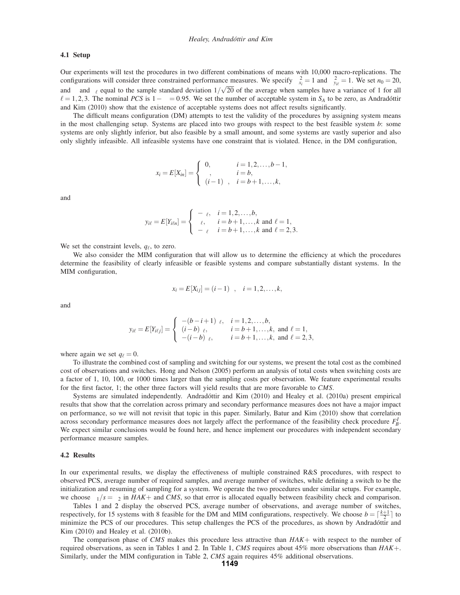### **4.1 Setup**

Our experiments will test the procedures in two different combinations of means with 10,000 macro-replications. The configurations will consider three constrained performance measures. We specify  $\sigma_{x_i}^2 = 1$  and  $\sigma_{y_i\ell}^2 = 1$ . We set  $n_0 = 20$ , and  $\delta$  and  $\varepsilon_\ell$  equal to the sample standard deviation  $1/\sqrt{20}$  of the average when samples have a variance of 1 for all  $\ell = 1,2,3$ . The nominal *PCS* is  $1 - \alpha = 0.95$ . We set the number of acceptable system in  $S_A$  to be zero, as Andradottir and Kim (2010) show that the existence of acceptable systems does not affect results significantly.

The difficult means configuration (DM) attempts to test the validity of the procedures by assigning system means in the most challenging setup. Systems are placed into two groups with respect to the best feasible system *b*: some systems are only slightly inferior, but also feasible by a small amount, and some systems are vastly superior and also only slightly infeasible. All infeasible systems have one constraint that is violated. Hence, in the DM configuration,

$$
x_i = E[X_{in}] = \begin{cases} 0, & i = 1, 2, ..., b - 1, \\ \delta, & i = b, \\ (i - 1)\delta, & i = b + 1, ..., k, \end{cases}
$$

and

$$
y_{i\ell} = E[Y_{i\ell n}] = \begin{cases} -\varepsilon_{\ell}, & i = 1, 2, ..., b, \\ \varepsilon_{\ell}, & i = b + 1, ..., k \text{ and } \ell = 1, \\ -\varepsilon_{\ell} & i = b + 1, ..., k \text{ and } \ell = 2, 3. \end{cases}
$$

We set the constraint levels,  $q_\ell$ , to zero.

We also consider the MIM configuration that will allow us to determine the efficiency at which the procedures determine the feasibility of clearly infeasible or feasible systems and compare substantially distant systems. In the MIM configuration,

$$
x_i = E[X_{ij}] = (i-1)\delta, \quad i = 1, 2, ..., k,
$$

and

$$
y_{i\ell} = E[Y_{i\ell j}] = \begin{cases} -(b-i+1)\varepsilon_{\ell}, & i = 1, 2, ..., b, \\ (i-b)\varepsilon_{\ell}, & i = b+1, ..., k, \text{ and } \ell = 1, \\ -(i-b)\varepsilon_{\ell}, & i = b+1, ..., k, \text{ and } \ell = 2, 3, \end{cases}
$$

where again we set  $q_\ell = 0$ .

To illustrate the combined cost of sampling and switching for our systems, we present the total cost as the combined cost of observations and switches. Hong and Nelson (2005) perform an analysis of total costs when switching costs are a factor of 1, 10, 100, or 1000 times larger than the sampling costs per observation. We feature experimental results for the first factor, 1; the other three factors will yield results that are more favorable to *CMS*.

Systems are simulated independently. Andradóttir and Kim (2010) and Healey et al. (2010a) present empirical results that show that the correlation across primary and secondary performance measures does not have a major impact on performance, so we will not revisit that topic in this paper. Similarly, Batur and Kim (2010) show that correlation across secondary performance measures does not largely affect the performance of the feasibility check procedure *F<sup>I</sup> B*. We expect similar conclusions would be found here, and hence implement our procedures with independent secondary performance measure samples.

### **4.2 Results**

In our experimental results, we display the effectiveness of multiple constrained R&S procedures, with respect to observed PCS, average number of required samples, and average number of switches, while defining a switch to be the initialization and resuming of sampling for a system. We operate the two procedures under similar setups. For example, we choose  $\beta_1$ /*s* =  $\beta_2$  in *HAK*+ and *CMS*, so that error is allocated equally between feasibility check and comparison.

Tables 1 and 2 display the observed PCS, average number of observations, and average number of switches, respectively, for 15 systems with 8 feasible for the DM and MIM configurations, respectively. We choose  $b = \lceil \frac{k+1}{2} \rceil$  to minimize the PCS of our procedures. This setup challenges the PCS of the procedures, as shown by Andradottir and ´ Kim (2010) and Healey et al. (2010b).

The comparison phase of *CMS* makes this procedure less attractive than *HAK*+ with respect to the number of required observations, as seen in Tables 1 and 2. In Table 1, *CMS* requires about 45% more observations than *HAK*+. Similarly, under the MIM configuration in Table 2, *CMS* again requires 45% additional observations.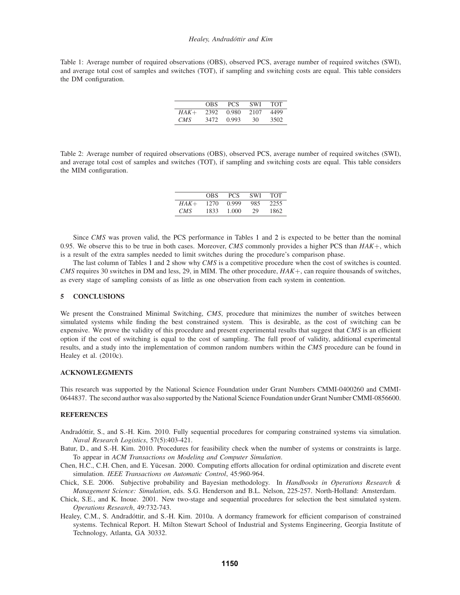#### *Healey, Andradottir and Kim ´*

Table 1: Average number of required observations (OBS), observed PCS, average number of required switches (SWI), and average total cost of samples and switches (TOT), if sampling and switching costs are equal. This table considers the DM configuration.

|                  | OBS  | PCS.  | <b>SWI</b> | <b>TOT</b> |
|------------------|------|-------|------------|------------|
| $HAK+$           | 2392 | 0.980 | 2107       | 4499       |
| CMS <sup>-</sup> | 3472 | 0.993 | 30         | 3502       |

Table 2: Average number of required observations (OBS), observed PCS, average number of required switches (SWI), and average total cost of samples and switches (TOT), if sampling and switching costs are equal. This table considers the MIM configuration.

|        | OBS   | PCS.  | SWI | <b>TOT</b> |
|--------|-------|-------|-----|------------|
| $HAK+$ | 12.70 | 0.999 | 985 | 2255       |
| CMS.   | 1833  | 1.000 | 29  | 1862       |

Since *CMS* was proven valid, the PCS performance in Tables 1 and 2 is expected to be better than the nominal 0.95. We observe this to be true in both cases. Moreover, *CMS* commonly provides a higher PCS than *HAK*+, which is a result of the extra samples needed to limit switches during the procedure's comparison phase.

The last column of Tables 1 and 2 show why *CMS* is a competitive procedure when the cost of switches is counted. *CMS* requires 30 switches in DM and less, 29, in MIM. The other procedure, *HAK*+, can require thousands of switches, as every stage of sampling consists of as little as one observation from each system in contention.

# **5 CONCLUSIONS**

We present the Constrained Minimal Switching, *CMS*, procedure that minimizes the number of switches between simulated systems while finding the best constrained system. This is desirable, as the cost of switching can be expensive. We prove the validity of this procedure and present experimental results that suggest that *CMS* is an efficient option if the cost of switching is equal to the cost of sampling. The full proof of validity, additional experimental results, and a study into the implementation of common random numbers within the *CMS* procedure can be found in Healey et al. (2010c).

### **ACKNOWLEGMENTS**

This research was supported by the National Science Foundation under Grant Numbers CMMI-0400260 and CMMI-0644837. The second author was also supported by the National Science Foundation under Grant Number CMMI-0856600.

# **REFERENCES**

- Andradóttir, S., and S.-H. Kim. 2010. Fully sequential procedures for comparing constrained systems via simulation. *Naval Research Logistics*, 57(5):403-421.
- Batur, D., and S.-H. Kim. 2010. Procedures for feasibility check when the number of systems or constraints is large. To appear in *ACM Transactions on Modeling and Computer Simulation*.
- Chen, H.C., C.H. Chen, and E. Yücesan. 2000. Computing efforts allocation for ordinal optimization and discrete event simulation. *IEEE Transactions on Automatic Control*, 45:960-964.
- Chick, S.E. 2006. Subjective probability and Bayesian methodology. In *Handbooks in Operations Research & Management Science: Simulation*, eds. S.G. Henderson and B.L. Nelson, 225-257. North-Holland: Amsterdam.
- Chick, S.E., and K. Inoue. 2001. New two-stage and sequential procedures for selection the best simulated system. *Operations Research*, 49:732-743.
- Healey, C.M., S. Andradóttir, and S.-H. Kim. 2010a. A dormancy framework for efficient comparison of constrained systems. Technical Report. H. Milton Stewart School of Industrial and Systems Engineering, Georgia Institute of Technology, Atlanta, GA 30332.